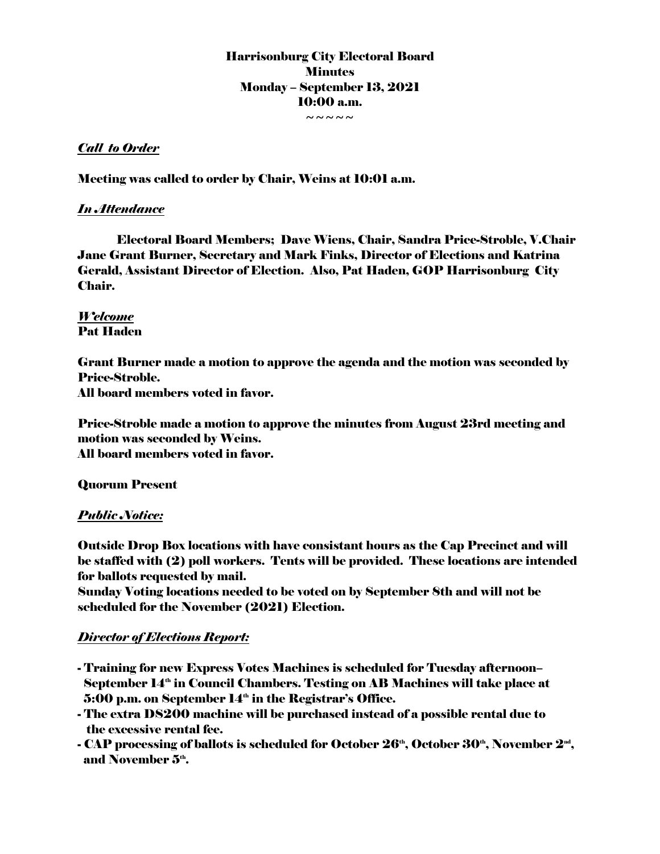Harrisonburg City Electoral Board **Minutes** Monday – September 13, 2021 10:00 a.m.  $\sim\sim\sim\sim\sim$ 

## *Call to Order*

Meeting was called to order by Chair, Weins at 10:01 a.m.

#### *In Attendance*

Electoral Board Members; Dave Wiens, Chair, Sandra Price-Stroble, V.Chair Jane Grant Burner, Secretary and Mark Finks, Director of Elections and Katrina Gerald, Assistant Director of Election. Also, Pat Haden, GOP Harrisonburg City Chair.

# *Welcome*  Pat Haden

Grant Burner made a motion to approve the agenda and the motion was seconded by Price-Stroble. All board members voted in favor.

Price-Stroble made a motion to approve the minutes from August 23rd meeting and motion was seconded by Weins. All board members voted in favor.

Quorum Present

## *Public Notice:*

Outside Drop Box locations with have consistant hours as the Cap Precinct and will be staffed with (2) poll workers. Tents will be provided. These locations are intended for ballots requested by mail.

Sunday Voting locations needed to be voted on by September 8th and will not be scheduled for the November (2021) Election.

## *Director of Elections Report:*

- Training for new Express Votes Machines is scheduled for Tuesday afternoon– September 14<sup>th</sup> in Council Chambers. Testing on AB Machines will take place at  $5:00$  p.m. on September  $14<sup>th</sup>$  in the Registrar's Office.
- The extra DS200 machine will be purchased instead of a possible rental due to the excessive rental fee.
- CAP processing of ballots is scheduled for October  $\mathbf{26^\text{\tiny{th}}},$  October  $\mathbf{30^\text{\tiny{th}}},$  November  $\mathbf{2^\text{\tiny{nd}}},$ and November  $5<sup>th</sup>$ .